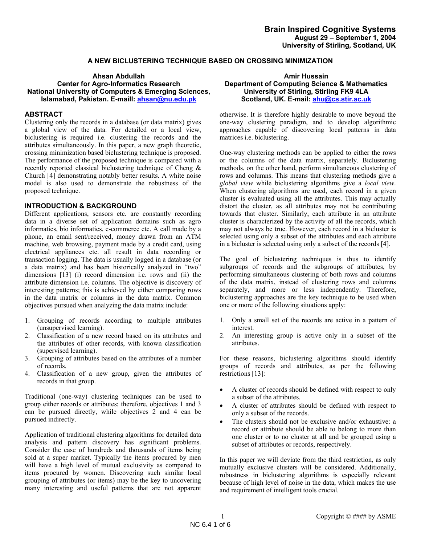# **A NEW BICLUSTERING TECHNIQUE BASED ON CROSSING MINIMIZATION**

### **Ahsan Abdullah Amir Hussain Center for Agro-Informatics Research National University of Computers & Emerging Sciences, Islamabad, Pakistan. E-maill: ahsan@nu.edu.pk**

### **ABSTRACT**

Clustering only the records in a database (or data matrix) gives a global view of the data. For detailed or a local view, biclustering is required i.e. clustering the records and the attributes simultaneously. In this paper, a new graph theoretic, crossing minimization based biclustering technique is proposed. The performance of the proposed technique is compared with a recently reported classical biclustering technique of Cheng & Church [4] demonstrating notably better results. A white noise model is also used to demonstrate the robustness of the proposed technique.

# **INTRODUCTION & BACKGROUND**

Different applications, sensors etc. are constantly recording data in a diverse set of application domains such as agro informatics, bio informatics, e-commerce etc. A call made by a phone, an email sent/received, money drawn from an ATM machine, web browsing, payment made by a credit card, using electrical appliances etc. all result in data recording or transaction logging. The data is usually logged in a database (or a data matrix) and has been historically analyzed in "two" dimensions [13] (i) record dimension i.e. rows and (ii) the attribute dimension i.e. columns. The objective is discovery of interesting patterns; this is achieved by either comparing rows in the data matrix or columns in the data matrix. Common objectives pursued when analyzing the data matrix include:

- 1. Grouping of records according to multiple attributes (unsupervised learning).
- 2. Classification of a new record based on its attributes and the attributes of other records, with known classification (supervised learning).
- 3. Grouping of attributes based on the attributes of a number of records.
- 4. Classification of a new group, given the attributes of records in that group.

Traditional (one-way) clustering techniques can be used to group either records or attributes; therefore, objectives 1 and 3 can be pursued directly, while objectives 2 and 4 can be pursued indirectly.

Application of traditional clustering algorithms for detailed data analysis and pattern discovery has significant problems. Consider the case of hundreds and thousands of items being sold at a super market. Typically the items procured by men will have a high level of mutual exclusivity as compared to items procured by women. Discovering such similar local grouping of attributes (or items) may be the key to uncovering many interesting and useful patterns that are not apparent

# **Department of Computing Science & Mathematics University of Stirling, Stirling FK9 4LA Scotland, UK. E-mail: ahu@cs.stir.ac.uk**

otherwise. It is therefore highly desirable to move beyond the one-way clustering paradigm, and to develop algorithmic approaches capable of discovering local patterns in data matrices i.e. biclustering.

One-way clustering methods can be applied to either the rows or the columns of the data matrix, separately. Biclustering methods, on the other hand, perform simultaneous clustering of rows and columns. This means that clustering methods give a *global view* while biclustering algorithms give a *local view*. When clustering algorithms are used, each record in a given cluster is evaluated using all the attributes. This may actually distort the cluster, as all attributes may not be contributing towards that cluster. Similarly, each attribute in an attribute cluster is characterized by the activity of all the records, which may not always be true. However, each record in a bicluster is selected using only a subset of the attributes and each attribute in a bicluster is selected using only a subset of the records [4].

The goal of biclustering techniques is thus to identify subgroups of records and the subgroups of attributes, by performing simultaneous clustering of both rows and columns of the data matrix, instead of clustering rows and columns separately, and more or less independently. Therefore, biclustering approaches are the key technique to be used when one or more of the following situations apply:

- 1. Only a small set of the records are active in a pattern of interest.
- 2. An interesting group is active only in a subset of the attributes.

For these reasons, biclustering algorithms should identify groups of records and attributes, as per the following restrictions [13]:

- A cluster of records should be defined with respect to only a subset of the attributes.
- A cluster of attributes should be defined with respect to only a subset of the records.
- The clusters should not be exclusive and/or exhaustive: a record or attribute should be able to belong to more than one cluster or to no cluster at all and be grouped using a subset of attributes or records, respectively.

In this paper we will deviate from the third restriction, as only mutually exclusive clusters will be considered. Additionally, robustness in biclustering algorithms is especially relevant because of high level of noise in the data, which makes the use and requirement of intelligent tools crucial.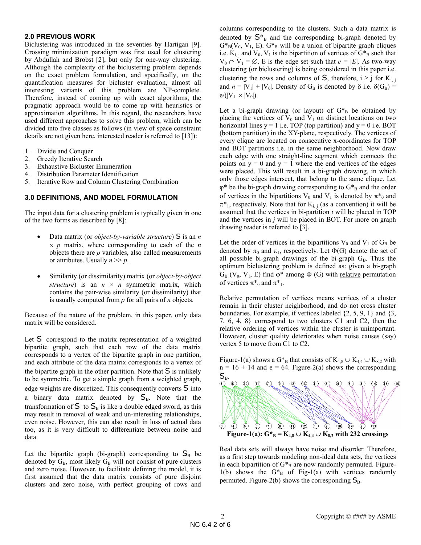### **2.0 PREVIOUS WORK**

Biclustering was introduced in the seventies by Hartigan [9]. Crossing minimization paradigm was first used for clustering by Abdullah and Brobst [2], but only for one-way clustering. Although the complexity of the biclustering problem depends on the exact problem formulation, and specifically, on the quantification measures for bicluster evaluation, almost all interesting variants of this problem are NP-complete. Therefore, instead of coming up with exact algorithms, the pragmatic approach would be to come up with heuristics or approximation algorithms. In this regard, the researchers have used different approaches to solve this problem, which can be divided into five classes as follows (in view of space constraint details are not given here, interested reader is referred to [13]):

- 1. Divide and Conquer
- 2. Greedy Iterative Search
- 3. Exhaustive Bicluster Enumeration
- 4. Distribution Parameter Identification
- 5. Iterative Row and Column Clustering Combination

# **3.0 DEFINITIONS, AND MODEL FORMULATION**

The input data for a clustering problem is typically given in one of the two forms as described by [8]:

- Data matrix (or *object-by-variable structure*) S is an *n*   $\times$  *p* matrix, where corresponding to each of the *n* objects there are *p* variables, also called measurements or attributes. Usually  $n \gg p$ .
- Similarity (or dissimilarity) matrix (or *object-by-object structure*) is an  $n \times n$  symmetric matrix, which contains the pair-wise similarity (or dissimilarity) that is usually computed from *p* for all pairs of *n* objects.

Because of the nature of the problem, in this paper, only data matrix will be considered.

Let S correspond to the matrix representation of a weighted bipartite graph, such that each row of the data matrix corresponds to a vertex of the bipartite graph in one partition, and each attribute of the data matrix corresponds to a vertex of the bipartite graph in the other partition. Note that  $S$  is unlikely to be symmetric. To get a simple graph from a weighted graph, edge weights are discretized. This consequently converts S into a binary data matrix denoted by  $S_B$ . Note that the transformation of  $S$  to  $S_B$  is like a double edged sword, as this may result in removal of weak and un-interesting relationships, even noise. However, this can also result in loss of actual data too, as it is very difficult to differentiate between noise and data.

Let the bipartite graph (bi-graph) corresponding to  $S_B$  be denoted by  $G_B$ , most likely  $G_B$  will not consist of pure clusters and zero noise. However, to facilitate defining the model, it is first assumed that the data matrix consists of pure disjoint clusters and zero noise, with perfect grouping of rows and

columns corresponding to the clusters. Such a data matrix is denoted by  $S_{B}^{*}$  and the corresponding bi-graph denoted by  $G^*_{B}(V_0, V_1, E)$ .  $G^*_{B}$  will be a union of bipartite graph cliques i.e.  $K_{i,j}$  and  $V_0$ ,  $V_1$  is the bipartition of vertices of  $G*_{B}$  such that  $V_0 \cap V_1 = \emptyset$ . E is the edge set such that  $e = |E|$ . As two-way clustering (or biclustering) is being considered in this paper i.e. clustering the rows and columns of  $S$ , therefore,  $i \ge j$  for  $K_{i,j}$ and  $n = |V_1| + |V_0|$ . Density of G<sub>B</sub> is denoted by  $\delta$  i.e.  $\delta(G_B)$  =  $e/(|V_1| \times |V_0|)$ .

Let a bi-graph drawing (or layout) of  $G*_{B}$  be obtained by placing the vertices of  $V_0$  and  $V_1$  on distinct locations on two horizontal lines  $y = 1$  i.e. TOP (top partition) and  $y = 0$  i.e. BOT (bottom partition) in the XY-plane, respectively. The vertices of every clique are located on consecutive x-coordinates for TOP and BOT partitions i.e. in the same neighborhood. Now draw each edge with one straight-line segment which connects the points on  $y = 0$  and  $y = 1$  where the end vertices of the edges were placed. This will result in a bi-graph drawing, in which only those edges intersect, that belong to the same clique. Let  $\varphi^*$  be the bi-graph drawing corresponding to  $G^*_{\text{B}}$  and the order of vertices in the bipartitions V<sub>0</sub> and V<sub>1</sub> is denoted by  $\pi^*$ <sub>0</sub> and  $\pi^*$ <sub>1</sub>, respectively. Note that for  $K_{i,j}$  (as a convention) it will be assumed that the vertices in bi-partition *i* will be placed in TOP and the vertices in *j* will be placed in BOT. For more on graph drawing reader is referred to [3].

Let the order of vertices in the bipartitions  $V_0$  and  $V_1$  of  $G_B$  be denoted by  $\pi_0$  and  $\pi_1$ , respectively. Let  $\Phi(G)$  denote the set of all possible bi-graph drawings of the bi-graph  $G_B$ . Thus the optimum biclustering problem is defined as: given a bi-graph  $G_B$  (V<sub>0</sub>, V<sub>1</sub>, E) find  $\varphi^*$  among  $\Phi$  (G) with <u>relative</u> permutation of vertices  $\pi^*_{0}$  and  $\pi^*_{1}$ .

Relative permutation of vertices means vertices of a cluster remain in their cluster neighborhood, and do not cross cluster boundaries. For example, if vertices labeled {2, 5, 9, 1} and {3, 7, 6, 4, 8} correspond to two clusters C1 and C2, then the relative ordering of vertices within the cluster is unimportant. However, cluster quality deteriorates when noise causes (say) vertex 5 to move from C1 to C2.



Real data sets will always have noise and disorder. Therefore, as a first step towards modeling non-ideal data sets, the vertices in each bipartition of  $G*_{B}$  are now randomly permuted. Figure-1(b) shows the  $G^*_{B}$  of Fig-1(a) with vertices randomly permuted. Figure-2(b) shows the corresponding  $S_B$ .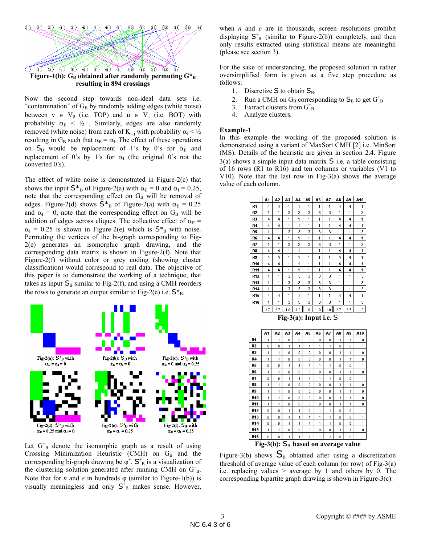

Now the second step towards non-ideal data sets i.e. "contamination" of  $G_B$  by randomly adding edges (white noise) between  $v \in V_0$  (i.e. TOP) and  $u \in V_1$  (i.e. BOT) with probability  $\alpha_E$  <  $\frac{1}{2}$ . Similarly, edges are also randomly removed (white noise) from each of  $K_{i,j}$  with probability  $\alpha_{I} < \frac{1}{2}$ resulting in  $G_B$  such that  $\alpha_E = \alpha_I$ . The effect of these operations on  $S_B$  would be replacement of 1's by 0's for  $\alpha_E$  and replacement of 0's by 1's for  $\alpha$ <sup>I</sup> (the original 0's not the converted 0's).

The effect of white noise is demonstrated in Figure-2(c) that shows the input  $S^*_{B}$  of Figure-2(a) with  $\alpha_E = 0$  and  $\alpha_I = 0.25$ , note that the corresponding effect on  $G_B$  will be removal of edges. Figure-2(d) shows  $S^*$ <sub>B</sub> of Figure-2(a) with  $\alpha_E = 0.25$ and  $\alpha_{I} = 0$ , note that the corresponding effect on G<sub>B</sub> will be addition of edges across cliques. The collective effect of  $\alpha_{E}$  =  $\alpha_I = 0.25$  is shown in Figure-2(e) which is  $S_{\text{B}}^*$  with noise. Permuting the vertices of the bi-graph corresponding to Fig-2(e) generates an isomorphic graph drawing, and the corresponding data matrix is shown in Figure-2(f). Note that Figure-2(f) without color or grey coding (showing cluster classification) would correspond to real data. The objective of this paper is to demonstrate the working of a technique, that takes as input  $S_B$  similar to Fig-2(f), and using a CMH reorders the rows to generate an output similar to Fig-2(e) i.e.  $S_{B}^*$ .



Let  $G_B^+$  denote the isomorphic graph as a result of using Crossing Minimization Heuristic (CMH) on  $G_B$  and the corresponding bi-graph drawing be  $\varphi^+$ .  $S^+$ <sub>B</sub> is a visualization of the clustering solution generated after running CMH on  $G<sup>+</sup><sub>B</sub>$ . Note that for *n* and *e* in hundreds  $\varphi$  (similar to Figure-1(b)) is visually meaningless and only  $S_{B}^{+}$  makes sense. However,

when *n* and *e* are in thousands, screen resolutions prohibit displaying  $S<sup>+</sup><sub>B</sub>$  (similar to Figure-2(b)) completely, and then only results extracted using statistical means are meaningful (please see section 3).

For the sake of understanding, the proposed solution in rather oversimplified form is given as a five step procedure as follows:

- 1. Discretize  $S$  to obtain  $S_B$ .
- 2. Run a CMH on  $G_B$  corresponding to  $S_B$  to get  $G_B^+$
- 3. Extract clusters from  $G_{B}^+$ .
- 4. Analyze clusters.

### **Example-1**

In this example the working of the proposed solution is demonstrated using a variant of MaxSort CMH [2] i.e. MinSort (MS). Details of the heuristic are given in section 2.4. Figure 3(a) shows a simple input data matrix S i.e. a table consisting of 16 rows (R1 to R16) and ten columns or variables (V1 to V10). Note that the last row in Fig-3(a) shows the average value of each column.

|                | A1                 | A2  | A3               | A4  | A5  | A6                               | A7  | A8  | A9  | A10 |
|----------------|--------------------|-----|------------------|-----|-----|----------------------------------|-----|-----|-----|-----|
| R1             | 4                  | 4   | 1                | 1   | 1   | 1                                | 1   | 4   | 4   | 1   |
| R <sub>2</sub> | 1                  | 1   | 3                | 3   | 3   | 3                                | 3   | 1   | 1   | 3   |
| R3             | 4                  | 4   | 1                | 1   | 1   | 1                                | 1   | 4   | 4   | 1   |
| R4             | 4                  | 4   | 1                | 1   | 1   | 1                                | 1   | 4   | 4   | 1   |
| R5             | 1                  | 1   | 3                | 3   | 3   | 3                                | 3   | 1   | 1   | 3   |
| R6             | 4                  | 4   | 1                | 1   | 1   | 1                                | 1   | 4   | 4   | 1   |
| R7             | 1                  | 1   | 3                | 3   | 3   | 3                                | 3   | 1   | 1   | 3   |
| R8             | 4                  | 4   | 1                | 1   | 1   | 1                                | 1   | 4   | 4   | 1   |
| R9             | 4                  | 4   | 1                | 1   | 1   | 1                                | 1   | 4   | 4   | 1   |
| <b>R10</b>     | 4                  | 4   | 1                | 1   | 1   | 1                                | 1   | 4   | 4   | 1   |
| R11            | 4                  | 4   | 1                | 1   | 1   | 1                                | 1   | 4   | 4   | 1   |
| R12            | 1                  | 1   | 3                | 3   | 3   | 3                                | 3   | 1   | 1   | 3   |
| R13            | 1                  | 1   | з                | з   | з   | 3                                | 3   | 1   | 1   | з   |
| <b>R14</b>     | 1                  | 1   | 3                | 3   | 3   | 3                                | 3   | 1   | 1   | 3   |
| <b>R15</b>     | 4                  | 4   | 1                | 1   | 1   | 1                                | 1   | 4   | 4   | 1   |
| <b>R16</b>     | 1                  | 1   | 3                | 3   | 3   | 3                                | 3   | 1   | 1   | 3   |
|                | 2.7                | 2.7 | 1.9              | 1.9 | 1.9 | 1.9                              | 1.9 | 2.7 | 2.7 | 1.9 |
|                |                    |     |                  |     |     |                                  |     |     |     |     |
|                | A1                 | A2  | A3               | A4  | A5  | Fig- $3(a)$ : Input i.e. S<br>A6 | A7  | A8  | A9  | A10 |
| R1             | 1                  | 1   | ٥                | ٥   | ٥   | ٥                                | ٥   | 1   | 1   | ٥   |
| R2             | Ď                  | ٥   | 1                | 1   | 1   | 1                                | 1   | Û   | o   | 1   |
| R3             | 1                  | 1   | ٥                | Ŭ   | o   | o                                | o   | 1   | 1   | Ď   |
| R4             | 1                  | 1   | ٥                | Ŭ   | ٥   | Û                                | ٥   | 1   | 1   | Ŭ   |
| R5             | Ď                  | Ď   | 1                | 1   | 1   | 1                                | 1   | o   | Ũ   | 1   |
| R6             | 1                  | 1   | ٥                | ٥   | ٥   | ٥                                | ٥   | 1   | 1   | Û   |
| R7             | ٥                  | ٥   | 1                | 1   | 1   | 1                                | 1   | ٥   | o   | 1   |
| R8             | 1                  | 1   | ٥                | Ď   | ٥   | Û                                | o   | 1   | 1   | o   |
| R9             | 1                  | 1   | ٥                | ٥   | ٥   | ٥                                | ٥   | 1   | 1   | Ŭ   |
| R10            | 1                  | 1   | ٥                | o   | ٥   | o                                | ٥   | 1   | 1   | o   |
| <b>R11</b>     | 1                  | 1   | ٥                | o   | ٥   | Û                                | ٥   | 1   | 1   | o   |
| <b>R12</b>     | Ŭ                  | ٥   | 1                | 1   | 1   | 1                                | 1   | ٥   | ٥   | 1   |
| R13            | ٥                  | ٥   | 1                | 1   | 1   | 1                                | 1   | ٥   | ٥   | 1   |
| <b>R14</b>     | ٥                  | ٥   | 1                | 1   | 1   | 1                                | 1   | ٥   | ٥   | 1   |
| R15            | 1                  | 1   | ٥                | Ď   | Ď   | Û                                | ٥   | 1   | 1   | o   |
| <b>R16</b>     | Û<br>Fig- $3(b)$ : | Û   | 1<br>$S_{\rm B}$ | 1   | 1   | 1                                | 1   | ٥   | Ŭ   | 1   |

Figure-3(b) shows  $S_B$  obtained after using a discretization threshold of average value of each column (or row) of Fig-3(a) i.e. replacing values  $>$  average by 1 and others by 0. The corresponding bipartite graph drawing is shown in Figure-3(c).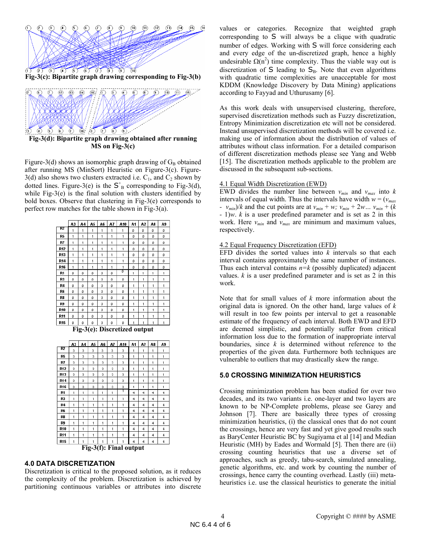

**Fig-3(d): Bipartite graph drawing obtained after running MS on Fig-3(c)** 

Figure-3(d) shows an isomorphic graph drawing of  $G_B$  obtained after running MS (MinSort) Heuristic on Figure-3(c). Figure- $3(d)$  also shows two clusters extracted i.e.  $C_1$ , and  $C_2$  shown by dotted lines. Figure-3(e) is the  $S<sup>+</sup><sub>B</sub>$  corresponding to Fig-3(d), while Fig-3(e) is the final solution with clusters identified by bold boxes. Observe that clustering in Fig-3(e) corresponds to perfect row matches for the table shown in Fig-3(a).





**Fig-3(f): Final output**

# **4.0 DATA DISCRETIZATION**

Discretization is critical to the proposed solution, as it reduces the complexity of the problem. Discretization is achieved by partitioning continuous variables or attributes into discrete values or categories. Recognize that weighted graph corresponding to S will always be a clique with quadratic number of edges. Working with S will force considering each and every edge of the un-discretized graph, hence a highly undesirable  $\Omega(n^2)$  time complexity. Thus the viable way out is discretization of  $S$  leading to  $S_B$ . Note that even algorithms with quadratic time complexities are unacceptable for most KDDM (Knowledge Discovery by Data Mining) applications according to Fayyad and Uthurusamy [6].

As this work deals with unsupervised clustering, therefore, supervised discretization methods such as Fuzzy discretization, Entropy Minimization discretization etc will not be considered. Instead unsupervised discretization methods will be covered i.e. making use of information about the distribution of values of attributes without class information. For a detailed comparison of different discretization methods please see Yang and Webb [15]. The discretization methods applicable to the problem are discussed in the subsequent sub-sections.

### 4.1 Equal Width Discretization (EWD)

EWD divides the number line between  $v_{min}$  and  $v_{max}$  into  $k$ intervals of equal width. Thus the intervals have width  $w = (v_{max})$ *-*  $v_{min}/k$  and the cut points are at  $v_{min} + w$ ;  $v_{min} + 2w$ ...  $v_{min} + (k)$ *-* 1)*w*. *k* is a user predefined parameter and is set as 2 in this work. Here *vmin* and *vmax* are minimum and maximum values, respectively.

### 4.2 Equal Frequency Discretization (EFD)

EFD divides the sorted values into *k* intervals so that each interval contains approximately the same number of instances. Thus each interval contains  $n=k$  (possibly duplicated) adjacent values.  $k$  is a user predefined parameter and is set as  $2$  in this work.

Note that for small values of *k* more information about the original data is ignored. On the other hand, large values of *k* will result in too few points per interval to get a reasonable estimate of the frequency of each interval. Both EWD and EFD are deemed simplistic, and potentially suffer from critical information loss due to the formation of inappropriate interval boundaries, since *k* is determined without reference to the properties of the given data. Furthermore both techniques are vulnerable to outliers that may drastically skew the range.

# **5.0 CROSSING MINIMIZATION HEURISTICS**

Crossing minimization problem has been studied for over two decades, and its two variants i.e. one-layer and two layers are known to be NP-Complete problems, please see Garey and Johnson [7]. There are basically three types of crossing minimization heuristics, (i) the classical ones that do not count the crossings, hence are very fast and yet give good results such as BaryCenter Heuristic BC by Sugiyama et al [14] and Median Heuristic (MH) by Eades and Wormald [5]. Then there are (ii) crossing counting heuristics that use a diverse set of approaches, such as greedy, tabu-search, simulated annealing, genetic algorithms, etc. and work by counting the number of crossings, hence carry the counting overhead. Lastly (iii) metaheuristics i.e. use the classical heuristics to generate the initial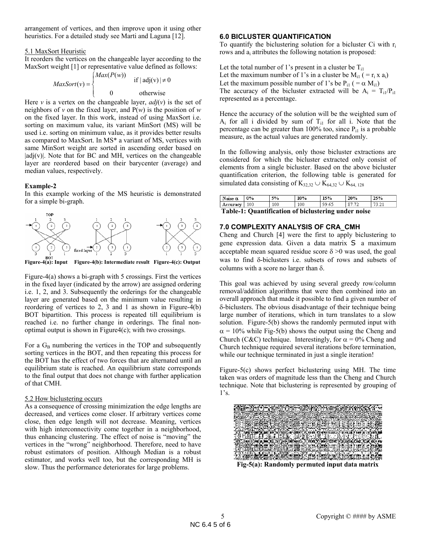arrangement of vertices, and then improve upon it using other heuristics. For a detailed study see Marti and Laguna [12].

### 5.1 MaxSort Heuristic

It reorders the vertices on the changeable layer according to the MaxSort weight [1] or representative value defined as follows:

$$
MaxSort(v) = \begin{cases} Max(P(w)) & \text{if } |adj(v)| \neq 0 \\ 0 & \text{otherwise} \end{cases}
$$

Here *v* is a vertex on the changeable layer,  $adj(v)$  is the set of neighbors of *v* on the fixed layer, and  $P(w)$  is the position of *w* on the fixed layer. In this work, instead of using MaxSort i.e. sorting on maximum value, its variant MinSort (MS) will be used i.e. sorting on minimum value, as it provides better results as compared to MaxSort. In MS\* a variant of MS, vertices with same MinSort weight are sorted in ascending order based on  $|adj(v)|$ . Note that for BC and MH, vertices on the changeable layer are reordered based on their barycenter (average) and median values, respectively.

### **Example-2**

In this example working of the MS heuristic is demonstrated for a simple bi-graph.





Figure-4(a) shows a bi-graph with 5 crossings. First the vertices in the fixed layer (indicated by the arrow) are assigned ordering i.e. 1, 2, and 3. Subsequently the orderings for the changeable layer are generated based on the minimum value resulting in reordering of vertices to 2, 3 and 1 as shown in Figure-4(b) BOT bipartition. This process is repeated till equilibrium is reached i.e. no further change in orderings. The final nonoptimal output is shown in Figure4(c); with two crossings.

For a  $G_B$  numbering the vertices in the TOP and subsequently sorting vertices in the BOT, and then repeating this process for the BOT has the effect of two forces that are alternated until an equilibrium state is reached. An equilibrium state corresponds to the final output that does not change with further application of that CMH.

# 5.2 How biclustering occurs

As a consequence of crossing minimization the edge lengths are decreased, and vertices come closer. If arbitrary vertices come close, then edge length will not decrease. Meaning, vertices with high interconnectivity come together in a neighborhood, thus enhancing clustering. The effect of noise is "moving" the vertices in the "wrong" neighborhood. Therefore, need to have robust estimators of position. Although Median is a robust estimator, and works well too, but the corresponding MH is slow. Thus the performance deteriorates for large problems.

# **6.0 BICLUSTER QUANTIFICATION**

To quantify the biclustering solution for a bicluster Ci with  $r_i$ rows and  $a_i$  attributes the following notation is proposed:

Let the total number of 1's present in a cluster be  $T_{i1}$ Let the maximum number of 1's in a cluster be  $M_{i1}$  ( =  $r_i$  x a<sub>i</sub>) Let the maximum possible number of 1's be  $P_{i1}$  ( =  $\alpha$  M<sub>i1</sub>) The accuracy of the bicluster extracted will be  $A_i = T_{i1}/P_{i1}$ represented as a percentage.

Hence the accuracy of the solution will be the weighted sum of  $A_i$  for all i divided by sum of  $T_{i1}$  for all i. Note that the percentage can be greater than 100% too, since  $P_{i1}$  is a probable measure, as the actual values are generated randomly.

In the following analysis, only those bicluster extractions are considered for which the bicluster extracted only consist of elements from a single bicluster. Based on the above bicluster quantification criterion, the following table is generated for simulated data consisting of K<sub>32,32</sub> ∪ K<sub>64,32</sub> ∪ K<sub>64,128</sub>

| $0\%$<br>use<br>u | c٥.<br>'O | 70  | E O A<br>70<br>-- | 300<br>70 | 70         |
|-------------------|-----------|-----|-------------------|-----------|------------|
| ОC<br>urac        |           | 100 | $\sim$ $-$        | mе.       | . .<br>$-$ |

### **Table-1: Quantification of biclustering under noise**

# **7.0 COMPLEXITY ANALYSIS OF CRA\_CMH**

Cheng and Church [4] were the first to apply biclustering to gene expression data. Given a data matrix S a maximum acceptable mean squared residue score  $\delta$  >0 was used, the goal was to find δ-biclusters i.e. subsets of rows and subsets of columns with a score no larger than δ.

This goal was achieved by using several greedy row/column removal/addition algorithms that were then combined into an overall approach that made it possible to find a given number of δ-biclusters. The obvious disadvantage of their technique being large number of iterations, which in turn translates to a slow solution. Figure-5(b) shows the randomly permuted input with  $\alpha$  = 10% while Fig-5(b) shows the output using the Cheng and Church (C&C) technique. Interestingly, for  $\alpha = 0$ % Cheng and Church technique required several iterations before termination, while our technique terminated in just a single iteration!

Figure-5(c) shows perfect biclustering using MH. The time taken was orders of magnitude less than the Cheng and Church technique. Note that biclustering is represented by grouping of 1's.